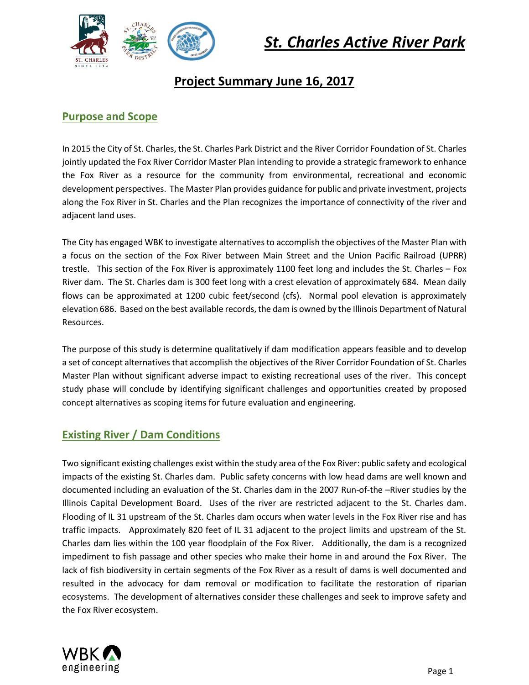

# **Project Summary June 16, 2017**

# **Purpose and Scope**

In 2015 the City of St. Charles, the St. Charles Park District and the River Corridor Foundation of St. Charles jointly updated the Fox River Corridor Master Plan intending to provide a strategic framework to enhance the Fox River as a resource for the community from environmental, recreational and economic development perspectives. The Master Plan provides guidance for public and private investment, projects along the Fox River in St. Charles and the Plan recognizes the importance of connectivity of the river and adjacent land uses.

The City has engaged WBK to investigate alternatives to accomplish the objectives of the Master Plan with a focus on the section of the Fox River between Main Street and the Union Pacific Railroad (UPRR) trestle. This section of the Fox River is approximately 1100 feet long and includes the St. Charles – Fox River dam. The St. Charles dam is 300 feet long with a crest elevation of approximately 684. Mean daily flows can be approximated at 1200 cubic feet/second (cfs). Normal pool elevation is approximately elevation 686. Based on the best available records, the dam is owned by the Illinois Department of Natural Resources.

The purpose of this study is determine qualitatively if dam modification appears feasible and to develop a set of concept alternatives that accomplish the objectives of the River Corridor Foundation of St. Charles Master Plan without significant adverse impact to existing recreational uses of the river. This concept study phase will conclude by identifying significant challenges and opportunities created by proposed concept alternatives as scoping items for future evaluation and engineering.

# **Existing River / Dam Conditions**

Two significant existing challenges exist within the study area of the Fox River: public safety and ecological impacts of the existing St. Charles dam. Public safety concerns with low head dams are well known and documented including an evaluation of the St. Charles dam in the 2007 Run-of-the –River studies by the Illinois Capital Development Board. Uses of the river are restricted adjacent to the St. Charles dam. Flooding of IL 31 upstream of the St. Charles dam occurs when water levels in the Fox River rise and has traffic impacts. Approximately 820 feet of IL 31 adjacent to the project limits and upstream of the St. Charles dam lies within the 100 year floodplain of the Fox River. Additionally, the dam is a recognized impediment to fish passage and other species who make their home in and around the Fox River. The lack of fish biodiversity in certain segments of the Fox River as a result of dams is well documented and resulted in the advocacy for dam removal or modification to facilitate the restoration of riparian ecosystems. The development of alternatives consider these challenges and seek to improve safety and the Fox River ecosystem.

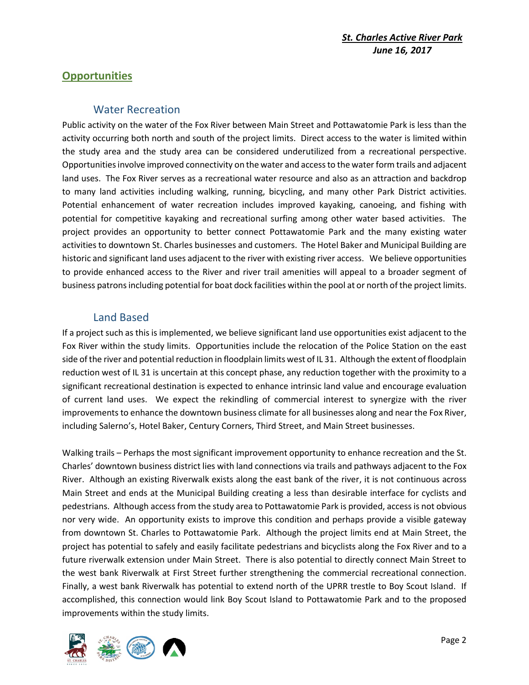# **Opportunities**

#### Water Recreation

Public activity on the water of the Fox River between Main Street and Pottawatomie Park is less than the activity occurring both north and south of the project limits. Direct access to the water is limited within the study area and the study area can be considered underutilized from a recreational perspective. Opportunitiesinvolve improved connectivity on the water and access to the water form trails and adjacent land uses. The Fox River serves as a recreational water resource and also as an attraction and backdrop to many land activities including walking, running, bicycling, and many other Park District activities. Potential enhancement of water recreation includes improved kayaking, canoeing, and fishing with potential for competitive kayaking and recreational surfing among other water based activities. The project provides an opportunity to better connect Pottawatomie Park and the many existing water activities to downtown St. Charles businesses and customers. The Hotel Baker and Municipal Building are historic and significant land uses adjacent to the river with existing river access. We believe opportunities to provide enhanced access to the River and river trail amenities will appeal to a broader segment of business patrons including potential for boat dock facilities within the pool at or north of the project limits.

# Land Based

If a project such as this is implemented, we believe significant land use opportunities exist adjacent to the Fox River within the study limits. Opportunities include the relocation of the Police Station on the east side of the river and potential reduction in floodplain limits west of IL 31. Although the extent of floodplain reduction west of IL 31 is uncertain at this concept phase, any reduction together with the proximity to a significant recreational destination is expected to enhance intrinsic land value and encourage evaluation of current land uses. We expect the rekindling of commercial interest to synergize with the river improvements to enhance the downtown business climate for all businesses along and near the Fox River, including Salerno's, Hotel Baker, Century Corners, Third Street, and Main Street businesses.

Walking trails – Perhaps the most significant improvement opportunity to enhance recreation and the St. Charles' downtown business district lies with land connections via trails and pathways adjacent to the Fox River. Although an existing Riverwalk exists along the east bank of the river, it is not continuous across Main Street and ends at the Municipal Building creating a less than desirable interface for cyclists and pedestrians. Although access from the study area to Pottawatomie Park is provided, access is not obvious nor very wide. An opportunity exists to improve this condition and perhaps provide a visible gateway from downtown St. Charles to Pottawatomie Park. Although the project limits end at Main Street, the project has potential to safely and easily facilitate pedestrians and bicyclists along the Fox River and to a future riverwalk extension under Main Street. There is also potential to directly connect Main Street to the west bank Riverwalk at First Street further strengthening the commercial recreational connection. Finally, a west bank Riverwalk has potential to extend north of the UPRR trestle to Boy Scout Island. If accomplished, this connection would link Boy Scout Island to Pottawatomie Park and to the proposed improvements within the study limits.

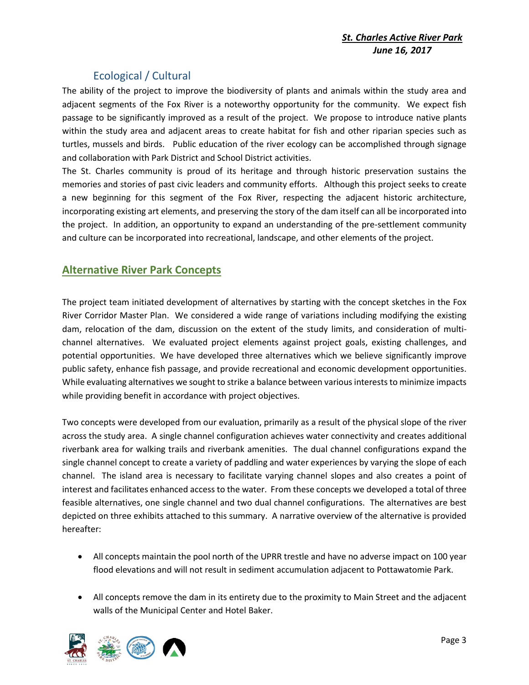# Ecological / Cultural

The ability of the project to improve the biodiversity of plants and animals within the study area and adjacent segments of the Fox River is a noteworthy opportunity for the community. We expect fish passage to be significantly improved as a result of the project. We propose to introduce native plants within the study area and adjacent areas to create habitat for fish and other riparian species such as turtles, mussels and birds. Public education of the river ecology can be accomplished through signage and collaboration with Park District and School District activities.

The St. Charles community is proud of its heritage and through historic preservation sustains the memories and stories of past civic leaders and community efforts. Although this project seeks to create a new beginning for this segment of the Fox River, respecting the adjacent historic architecture, incorporating existing art elements, and preserving the story of the dam itself can all be incorporated into the project. In addition, an opportunity to expand an understanding of the pre-settlement community and culture can be incorporated into recreational, landscape, and other elements of the project.

# **Alternative River Park Concepts**

The project team initiated development of alternatives by starting with the concept sketches in the Fox River Corridor Master Plan. We considered a wide range of variations including modifying the existing dam, relocation of the dam, discussion on the extent of the study limits, and consideration of multichannel alternatives. We evaluated project elements against project goals, existing challenges, and potential opportunities. We have developed three alternatives which we believe significantly improve public safety, enhance fish passage, and provide recreational and economic development opportunities. While evaluating alternatives we sought to strike a balance between various interests to minimize impacts while providing benefit in accordance with project objectives.

Two concepts were developed from our evaluation, primarily as a result of the physical slope of the river across the study area. A single channel configuration achieves water connectivity and creates additional riverbank area for walking trails and riverbank amenities. The dual channel configurations expand the single channel concept to create a variety of paddling and water experiences by varying the slope of each channel. The island area is necessary to facilitate varying channel slopes and also creates a point of interest and facilitates enhanced access to the water. From these concepts we developed a total of three feasible alternatives, one single channel and two dual channel configurations. The alternatives are best depicted on three exhibits attached to this summary. A narrative overview of the alternative is provided hereafter:

- All concepts maintain the pool north of the UPRR trestle and have no adverse impact on 100 year flood elevations and will not result in sediment accumulation adjacent to Pottawatomie Park.
- All concepts remove the dam in its entirety due to the proximity to Main Street and the adjacent walls of the Municipal Center and Hotel Baker.

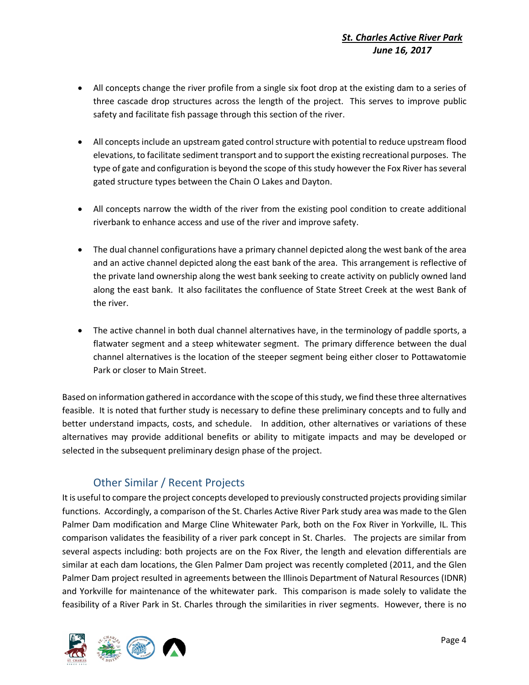- All concepts change the river profile from a single six foot drop at the existing dam to a series of three cascade drop structures across the length of the project. This serves to improve public safety and facilitate fish passage through this section of the river.
- All concepts include an upstream gated control structure with potential to reduce upstream flood elevations, to facilitate sediment transport and to support the existing recreational purposes. The type of gate and configuration is beyond the scope of this study however the Fox River has several gated structure types between the Chain O Lakes and Dayton.
- All concepts narrow the width of the river from the existing pool condition to create additional riverbank to enhance access and use of the river and improve safety.
- The dual channel configurations have a primary channel depicted along the west bank of the area and an active channel depicted along the east bank of the area. This arrangement is reflective of the private land ownership along the west bank seeking to create activity on publicly owned land along the east bank. It also facilitates the confluence of State Street Creek at the west Bank of the river.
- The active channel in both dual channel alternatives have, in the terminology of paddle sports, a flatwater segment and a steep whitewater segment. The primary difference between the dual channel alternatives is the location of the steeper segment being either closer to Pottawatomie Park or closer to Main Street.

Based on information gathered in accordance with the scope of this study, we find these three alternatives feasible. It is noted that further study is necessary to define these preliminary concepts and to fully and better understand impacts, costs, and schedule. In addition, other alternatives or variations of these alternatives may provide additional benefits or ability to mitigate impacts and may be developed or selected in the subsequent preliminary design phase of the project.

# Other Similar / Recent Projects

It is useful to compare the project concepts developed to previously constructed projects providing similar functions. Accordingly, a comparison of the St. Charles Active River Park study area was made to the Glen Palmer Dam modification and Marge Cline Whitewater Park, both on the Fox River in Yorkville, IL. This comparison validates the feasibility of a river park concept in St. Charles. The projects are similar from several aspects including: both projects are on the Fox River, the length and elevation differentials are similar at each dam locations, the Glen Palmer Dam project was recently completed (2011, and the Glen Palmer Dam project resulted in agreements between the Illinois Department of Natural Resources (IDNR) and Yorkville for maintenance of the whitewater park. This comparison is made solely to validate the feasibility of a River Park in St. Charles through the similarities in river segments. However, there is no

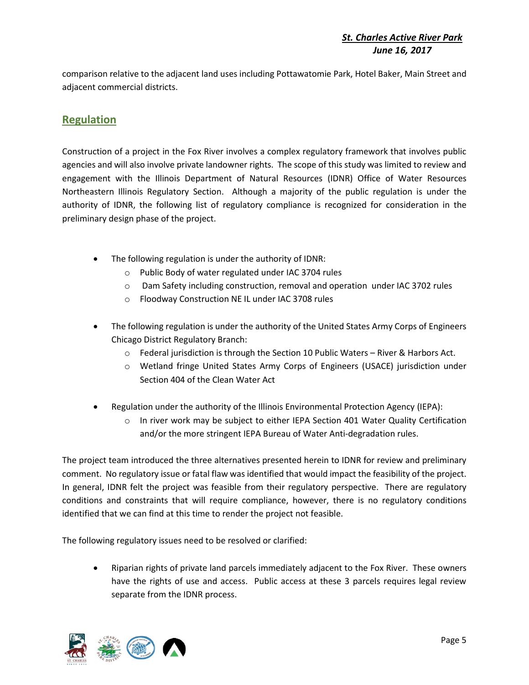comparison relative to the adjacent land uses including Pottawatomie Park, Hotel Baker, Main Street and adjacent commercial districts.

# **Regulation**

Construction of a project in the Fox River involves a complex regulatory framework that involves public agencies and will also involve private landowner rights. The scope of this study was limited to review and engagement with the Illinois Department of Natural Resources (IDNR) Office of Water Resources Northeastern Illinois Regulatory Section. Although a majority of the public regulation is under the authority of IDNR, the following list of regulatory compliance is recognized for consideration in the preliminary design phase of the project.

- The following regulation is under the authority of IDNR:
	- o Public Body of water regulated under IAC 3704 rules
	- o Dam Safety including construction, removal and operation under IAC 3702 rules
	- o Floodway Construction NE IL under IAC 3708 rules
- The following regulation is under the authority of the United States Army Corps of Engineers Chicago District Regulatory Branch:
	- $\circ$  Federal jurisdiction is through the Section 10 Public Waters River & Harbors Act.
	- o Wetland fringe United States Army Corps of Engineers (USACE) jurisdiction under Section 404 of the Clean Water Act
- Regulation under the authority of the Illinois Environmental Protection Agency (IEPA):
	- $\circ$  In river work may be subject to either IEPA Section 401 Water Quality Certification and/or the more stringent IEPA Bureau of Water Anti-degradation rules.

The project team introduced the three alternatives presented herein to IDNR for review and preliminary comment. No regulatory issue or fatal flaw was identified that would impact the feasibility of the project. In general, IDNR felt the project was feasible from their regulatory perspective. There are regulatory conditions and constraints that will require compliance, however, there is no regulatory conditions identified that we can find at this time to render the project not feasible.

The following regulatory issues need to be resolved or clarified:

 Riparian rights of private land parcels immediately adjacent to the Fox River. These owners have the rights of use and access. Public access at these 3 parcels requires legal review separate from the IDNR process.

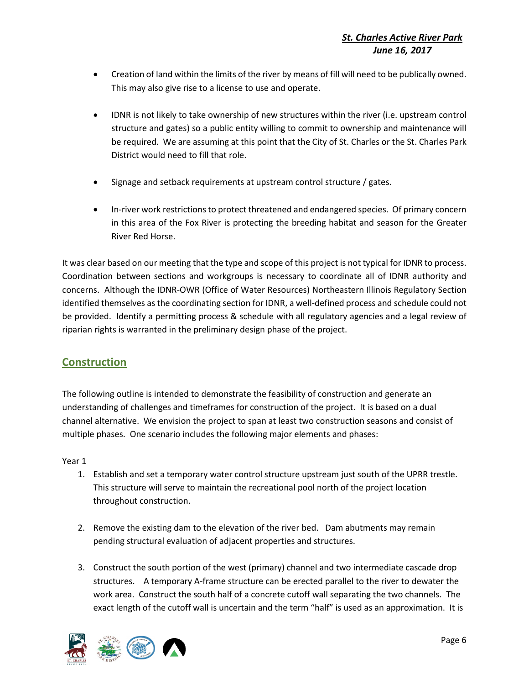- Creation of land within the limits of the river by means of fill will need to be publically owned. This may also give rise to a license to use and operate.
- IDNR is not likely to take ownership of new structures within the river (i.e. upstream control structure and gates) so a public entity willing to commit to ownership and maintenance will be required. We are assuming at this point that the City of St. Charles or the St. Charles Park District would need to fill that role.
- Signage and setback requirements at upstream control structure / gates.
- In-river work restrictions to protect threatened and endangered species. Of primary concern in this area of the Fox River is protecting the breeding habitat and season for the Greater River Red Horse.

It was clear based on our meeting that the type and scope of this project is not typical for IDNR to process. Coordination between sections and workgroups is necessary to coordinate all of IDNR authority and concerns. Although the IDNR-OWR (Office of Water Resources) Northeastern Illinois Regulatory Section identified themselves as the coordinating section for IDNR, a well-defined process and schedule could not be provided. Identify a permitting process & schedule with all regulatory agencies and a legal review of riparian rights is warranted in the preliminary design phase of the project.

# **Construction**

The following outline is intended to demonstrate the feasibility of construction and generate an understanding of challenges and timeframes for construction of the project. It is based on a dual channel alternative. We envision the project to span at least two construction seasons and consist of multiple phases. One scenario includes the following major elements and phases:

#### Year 1

- 1. Establish and set a temporary water control structure upstream just south of the UPRR trestle. This structure will serve to maintain the recreational pool north of the project location throughout construction.
- 2. Remove the existing dam to the elevation of the river bed. Dam abutments may remain pending structural evaluation of adjacent properties and structures.
- 3. Construct the south portion of the west (primary) channel and two intermediate cascade drop structures. A temporary A-frame structure can be erected parallel to the river to dewater the work area. Construct the south half of a concrete cutoff wall separating the two channels. The exact length of the cutoff wall is uncertain and the term "half" is used as an approximation. It is

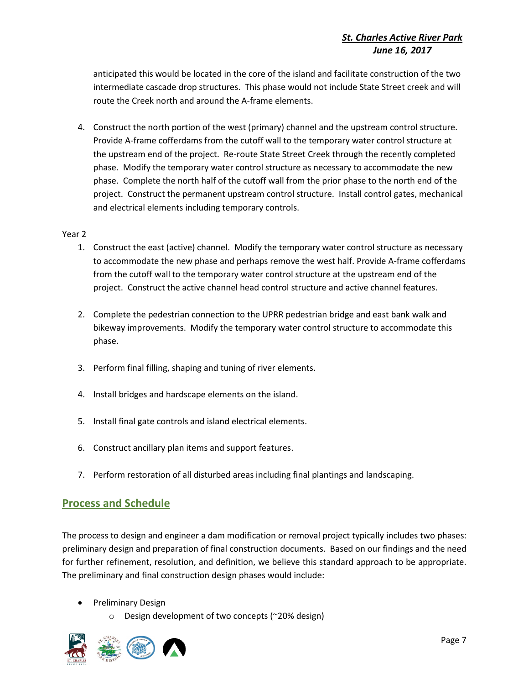anticipated this would be located in the core of the island and facilitate construction of the two intermediate cascade drop structures. This phase would not include State Street creek and will route the Creek north and around the A-frame elements.

4. Construct the north portion of the west (primary) channel and the upstream control structure. Provide A-frame cofferdams from the cutoff wall to the temporary water control structure at the upstream end of the project. Re-route State Street Creek through the recently completed phase. Modify the temporary water control structure as necessary to accommodate the new phase. Complete the north half of the cutoff wall from the prior phase to the north end of the project. Construct the permanent upstream control structure. Install control gates, mechanical and electrical elements including temporary controls.

#### Year 2

- 1. Construct the east (active) channel. Modify the temporary water control structure as necessary to accommodate the new phase and perhaps remove the west half. Provide A-frame cofferdams from the cutoff wall to the temporary water control structure at the upstream end of the project. Construct the active channel head control structure and active channel features.
- 2. Complete the pedestrian connection to the UPRR pedestrian bridge and east bank walk and bikeway improvements. Modify the temporary water control structure to accommodate this phase.
- 3. Perform final filling, shaping and tuning of river elements.
- 4. Install bridges and hardscape elements on the island.
- 5. Install final gate controls and island electrical elements.
- 6. Construct ancillary plan items and support features.
- 7. Perform restoration of all disturbed areas including final plantings and landscaping.

# **Process and Schedule**

The process to design and engineer a dam modification or removal project typically includes two phases: preliminary design and preparation of final construction documents. Based on our findings and the need for further refinement, resolution, and definition, we believe this standard approach to be appropriate. The preliminary and final construction design phases would include:

- Preliminary Design
	- o Design development of two concepts (~20% design)

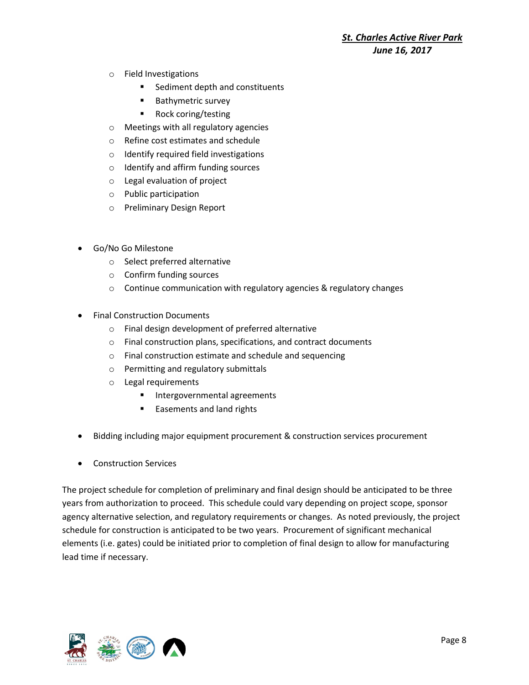- o Field Investigations
	- Sediment depth and constituents
	- Bathymetric survey
	- Rock coring/testing
- o Meetings with all regulatory agencies
- o Refine cost estimates and schedule
- o Identify required field investigations
- o Identify and affirm funding sources
- o Legal evaluation of project
- o Public participation
- o Preliminary Design Report
- Go/No Go Milestone
	- o Select preferred alternative
	- o Confirm funding sources
	- o Continue communication with regulatory agencies & regulatory changes
- Final Construction Documents
	- o Final design development of preferred alternative
	- o Final construction plans, specifications, and contract documents
	- o Final construction estimate and schedule and sequencing
	- o Permitting and regulatory submittals
	- o Legal requirements
		- Intergovernmental agreements
		- Easements and land rights
- Bidding including major equipment procurement & construction services procurement
- Construction Services

The project schedule for completion of preliminary and final design should be anticipated to be three years from authorization to proceed. This schedule could vary depending on project scope, sponsor agency alternative selection, and regulatory requirements or changes. As noted previously, the project schedule for construction is anticipated to be two years. Procurement of significant mechanical elements (i.e. gates) could be initiated prior to completion of final design to allow for manufacturing lead time if necessary.